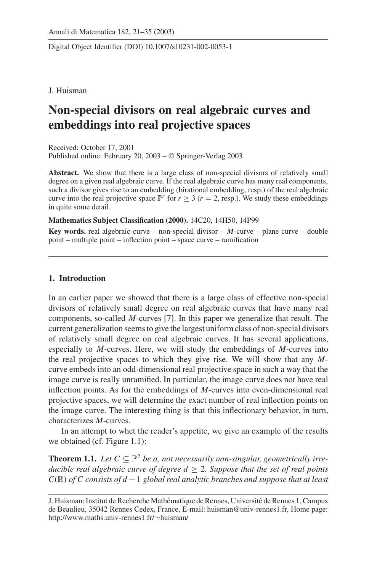Digital Object Identifier (DOI) 10.1007/s10231-002-0053-1

# J. Huisman

# **Non-special divisors on real algebraic curves and embeddings into real projective spaces**

Received: October 17, 2001 Published online: February 20, 2003 – © Springer-Verlag 2003

**Abstract.** We show that there is a large class of non-special divisors of relatively small degree on a given real algebraic curve. If the real algebraic curve has many real components, such a divisor gives rise to an embedding (birational embedding, resp.) of the real algebraic curve into the real projective space  $\mathbb{P}^r$  for  $r \geq 3$  ( $r = 2$ , resp.). We study these embeddings in quite some detail.

**Mathematics Subject Classification (2000).** 14C20, 14H50, 14P99

**Key words.** real algebraic curve – non-special divisor – *M*-curve – plane curve – double point – multiple point – inflection point – space curve – ramification

# **1. Introduction**

In an earlier paper we showed that there is a large class of effective non-special divisors of relatively small degree on real algebraic curves that have many real components, so-called *M*-curves [7]. In this paper we generalize that result. The current generalization seems to give the largest uniform class of non-special divisors of relatively small degree on real algebraic curves. It has several applications, especially to *M*-curves. Here, we will study the embeddings of *M*-curves into the real projective spaces to which they give rise. We will show that any *M*curve embeds into an odd-dimensional real projective space in such a way that the image curve is really unramified. In particular, the image curve does not have real inflection points. As for the embeddings of *M*-curves into even-dimensional real projective spaces, we will determine the exact number of real inflection points on the image curve. The interesting thing is that this inflectionary behavior, in turn, characterizes *M*-curves.

In an attempt to whet the reader's appetite, we give an example of the results we obtained (cf. Figure 1.1):

**Theorem 1.1.** *Let*  $C \subseteq \mathbb{P}^2$  *be a, not necessarily non-singular, geometrically irreducible real algebraic curve of degree*  $d \geq 2$ *. Suppose that the set of real points C*(R) *of C consists of d* −1 *global real analytic branches and suppose that at least*

J. Huisman: Institut de Recherche Mathématique de Rennes, Université de Rennes 1, Campus de Beaulieu, 35042 Rennes Cedex, France, E-mail: huisman@univ-rennes1.fr, Home page: http://www.maths.univ-rennes1.fr/∼huisman/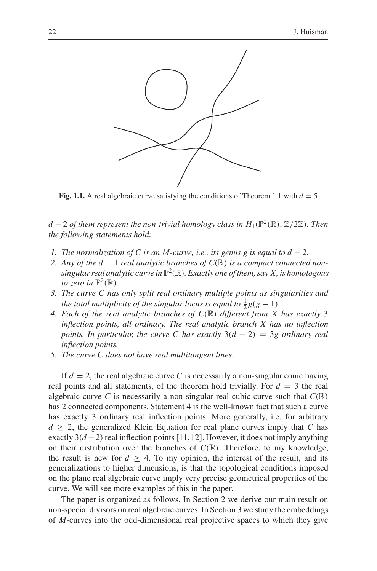

**Fig. 1.1.** A real algebraic curve satisfying the conditions of Theorem 1.1 with  $d = 5$ 

*d* − 2 *of them represent the non-trivial homology class in*  $H_1(\mathbb{P}^2(\mathbb{R}), \mathbb{Z}/2\mathbb{Z})$ *. Then the following statements hold:*

- *1. The normalization of C is an M-curve, i.e., its genus g is equal to d − 2.*
- *2. Any of the d* − 1 *real analytic branches of C*(R) *is a compact connected nonsingular real analytic curve in* P<sup>2</sup> (R)*. Exactly one of them, say X, is homologous to zero in*  $\mathbb{P}^2(\mathbb{R})$ *.*
- *3. The curve C has only split real ordinary multiple points as singularities and the total multiplicity of the singular locus is equal to*  $\frac{1}{2}g(g-1)$ *.*
- *4. Each of the real analytic branches of C*(R) *different from X has exactly* 3 *inflection points, all ordinary. The real analytic branch X has no inflection points. In particular, the curve C has exactly* 3(*d* − 2) = 3*g ordinary real inflection points.*
- *5. The curve C does not have real multitangent lines.*

If  $d = 2$ , the real algebraic curve C is necessarily a non-singular conic having real points and all statements, of the theorem hold trivially. For  $d = 3$  the real algebraic curve *C* is necessarily a non-singular real cubic curve such that  $C(\mathbb{R})$ has 2 connected components. Statement 4 is the well-known fact that such a curve has exactly 3 ordinary real inflection points. More generally, i.e. for arbitrary  $d \geq 2$ , the generalized Klein Equation for real plane curves imply that *C* has exactly  $3(d-2)$  real inflection points [11,12]. However, it does not imply anything on their distribution over the branches of  $C(\mathbb{R})$ . Therefore, to my knowledge, the result is new for  $d > 4$ . To my opinion, the interest of the result, and its generalizations to higher dimensions, is that the topological conditions imposed on the plane real algebraic curve imply very precise geometrical properties of the curve. We will see more examples of this in the paper.

The paper is organized as follows. In Section 2 we derive our main result on non-special divisors on real algebraic curves. In Section 3 we study the embeddings of *M*-curves into the odd-dimensional real projective spaces to which they give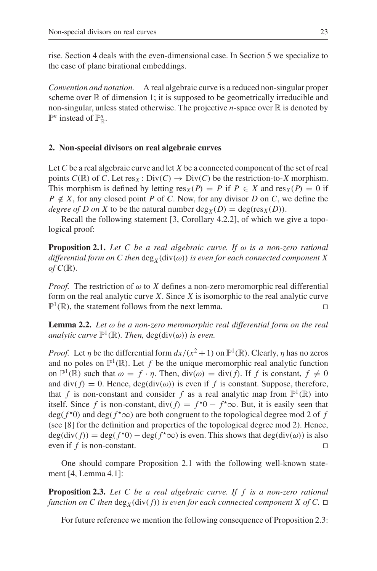rise. Section 4 deals with the even-dimensional case. In Section 5 we specialize to the case of plane birational embeddings.

*Convention and notation.* A real algebraic curve is a reduced non-singular proper scheme over  $\mathbb R$  of dimension 1; it is supposed to be geometrically irreducible and non-singular, unless stated otherwise. The projective *n*-space over  $\mathbb R$  is denoted by  $\mathbb{P}^n$  instead of  $\mathbb{P}^n_{\mathbb{R}}$ .

## **2. Non-special divisors on real algebraic curves**

Let *C* be a real algebraic curve and let *X* be a connected component of the set of real points  $C(\mathbb{R})$  of *C*. Let res<sub>*X*</sub>: Div(*C*)  $\rightarrow$  Div(*C*) be the restriction-to-*X* morphism. This morphism is defined by letting  $res_X(P) = P$  if  $P \in X$  and  $res_X(P) = 0$  if  $P \notin X$ , for any closed point *P* of *C*. Now, for any divisor *D* on *C*, we define the *degree of D on X* to be the natural number  $deg_X(D) = deg(res_X(D)).$ 

Recall the following statement [3, Corollary 4.2.2], of which we give a topological proof:

**Proposition 2.1.** *Let C be a real algebraic curve. If* ω *is a non-zero rational differential form on C then*  $\deg_X(\text{div}(\omega))$  *is even for each connected component X*  $of C(\mathbb{R}).$ 

*Proof.* The restriction of  $\omega$  to *X* defines a non-zero meromorphic real differential form on the real analytic curve *X*. Since *X* is isomorphic to the real analytic curve  $\mathbb{P}^1(\mathbb{R})$ , the statement follows from the next lemma.

**Lemma 2.2.** *Let* ω *be a non-zero meromorphic real differential form on the real analytic curve*  $\mathbb{P}^1(\mathbb{R})$ *. Then,* deg(div( $\omega$ )) *is even.* 

*Proof.* Let  $\eta$  be the differential form  $dx/(x^2+1)$  on  $\mathbb{P}^1(\mathbb{R})$ . Clearly,  $\eta$  has no zeros and no poles on  $\mathbb{P}^1(\mathbb{R})$ . Let f be the unique meromorphic real analytic function on  $\mathbb{P}^1(\mathbb{R})$  such that  $\omega = f \cdot \eta$ . Then,  $\text{div}(\omega) = \text{div}(f)$ . If f is constant,  $f \neq 0$ and div( $f$ ) = 0. Hence, deg(div( $\omega$ )) is even if  $f$  is constant. Suppose, therefore, that *f* is non-constant and consider *f* as a real analytic map from  $\mathbb{P}^1(\mathbb{R})$  into itself. Since *f* is non-constant, div( $f$ ) =  $f^*0 - f^* \infty$ . But, it is easily seen that  $deg(f^{\star}0)$  and  $deg(f^{\star}\infty)$  are both congruent to the topological degree mod 2 of f (see [8] for the definition and properties of the topological degree mod 2). Hence,  $deg(div(f)) = deg(f<sup>*</sup>0) - deg(f<sup>*</sup>∞)$  is even. This shows that deg(div(ω)) is also even if  $f$  is non-constant.

One should compare Proposition 2.1 with the following well-known statement [4, Lemma 4.1]:

**Proposition 2.3.** *Let C be a real algebraic curve. If f is a non-zero rational function on C then*  $\deg_X(\text{div}(f))$  *is even for each connected component X of C.*  $\Box$ 

For future reference we mention the following consequence of Proposition 2.3: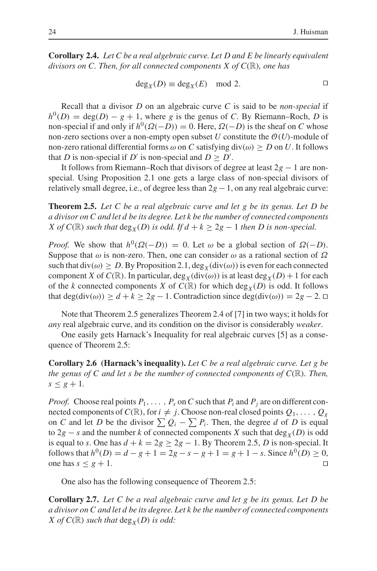**Corollary 2.4.** *Let C be a real algebraic curve. Let D and E be linearly equivalent divisors on C. Then, for all connected components X of C*(R)*, one has*

$$
\deg_X(D) \equiv \deg_X(E) \mod 2.
$$

Recall that a divisor *D* on an algebraic curve *C* is said to be *non-special* if  $h^{0}(D) = \deg(D) - g + 1$ , where *g* is the genus of *C*. By Riemann–Roch, *D* is non-special if and only if  $h^0(\Omega(-D)) = 0$ . Here,  $\Omega(-D)$  is the sheaf on *C* whose non-zero sections over a non-empty open subset  $U$  constitute the  $O(U)$ -module of non-zero rational differential forms  $\omega$  on *C* satisfying div( $\omega$ )  $\geq D$  on *U*. It follows that *D* is non-special if *D'* is non-special and  $D \ge D'$ .

It follows from Riemann–Roch that divisors of degree at least 2*g* − 1 are nonspecial. Using Proposition 2.1 one gets a large class of non-special divisors of relatively small degree, i.e., of degree less than  $2g - 1$ , on any real algebraic curve:

**Theorem 2.5.** *Let C be a real algebraic curve and let g be its genus. Let D be a divisor on C and let d be its degree. Let k be the number of connected components X* of  $C(\mathbb{R})$  *such that*  $\deg_X(D)$  *is odd. If*  $d + k \geq 2g - 1$  *then D is non-special.* 

*Proof.* We show that  $h^0(\Omega(-D)) = 0$ . Let  $\omega$  be a global section of  $\Omega(-D)$ . Suppose that  $\omega$  is non-zero. Then, one can consider  $\omega$  as a rational section of  $\Omega$ such that  $div(\omega) \geq D$ . By Proposition 2.1,  $deg_Xdiv(\omega)$  is even for each connected component *X* of *C*( $\mathbb{R}$ ). In particular, deg<sub>*X*</sub>(div( $\omega$ )) is at least deg<sub>*X*</sub>(*D*) + 1 for each of the *k* connected components *X* of  $C(\mathbb{R})$  for which deg<sub>*X*</sub>(*D*) is odd. It follows that deg(div( $\omega$ ))  $\geq d + k \geq 2g - 1$ . Contradiction since deg(div( $\omega$ )) = 2g – 2.  $\Box$ 

Note that Theorem 2.5 generalizes Theorem 2.4 of [7] in two ways; it holds for *any* real algebraic curve, and its condition on the divisor is considerably *weaker*.

One easily gets Harnack's Inequality for real algebraic curves [5] as a consequence of Theorem 2.5:

**Corollary 2.6 (Harnack's inequality).** *Let C be a real algebraic curve. Let g be the genus of C and let s be the number of connected components of*  $C(\mathbb{R})$ *. Then,*  $s \leq g + 1$ .

*Proof.* Choose real points  $P_1, \ldots, P_s$  on C such that  $P_i$  and  $P_j$  are on different connected components of  $C(\mathbb{R})$ , for  $i \neq j$ . Choose non-real closed points  $Q_1, \ldots, Q_g$ on *C* and let *D* be the divisor  $\sum Q_i - \sum P_i$ . Then, the degree *d* of *D* is equal to  $2g - s$  and the number *k* of connected components *X* such that deg<sub>*X*</sub>(*D*) is odd is equal to *s*. One has  $d + k = 2g \ge 2g - 1$ . By Theorem 2.5, *D* is non-special. It follows that  $h^0(D) = d - g + 1 = 2g - s - g + 1 = g + 1 - s$ . Since  $h^0(D) \ge 0$ , one has  $s < g + 1$ .

One also has the following consequence of Theorem 2.5:

**Corollary 2.7.** *Let C be a real algebraic curve and let g be its genus. Let D be a divisor on C and let d be its degree. Let k be the number of connected components X* of  $C(\mathbb{R})$  *such that*  $\deg_X(D)$  *is odd:*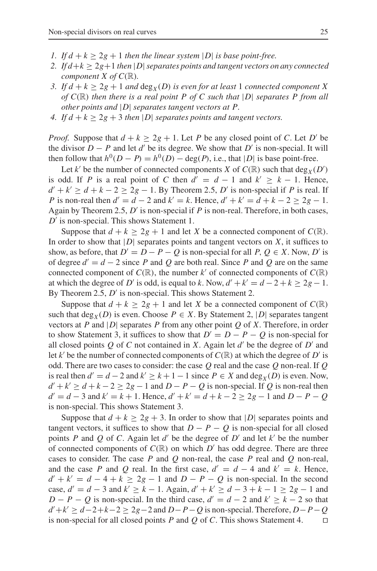- *1.* If  $d + k \geq 2g + 1$  *then the linear system* |D| *is base point-free.*
- *2. If*  $d+k \geq 2g+1$  *then*  $|D|$  *separates points and tangent vectors on any connected component X of C*(R)*.*
- *3.* If  $d + k \geq 2g + 1$  and  $\deg_X(D)$  is even for at least 1 connected component X *of C*(R) *then there is a real point P of C such that* |*D*| *separates P from all other points and* |*D*| *separates tangent vectors at P.*
- *4.* If  $d + k \geq 2g + 3$  *then* |*D*| *separates points and tangent vectors.*

*Proof.* Suppose that  $d + k \geq 2g + 1$ . Let *P* be any closed point of *C*. Let *D'* be the divisor  $D - P$  and let *d'* be its degree. We show that  $D'$  is non-special. It will then follow that  $h^0(D - P) = h^0(D) - \deg(P)$ , i.e., that |*D*| is base point-free.

Let *k'* be the number of connected components *X* of  $C(\mathbb{R})$  such that  $\deg_X(D')$ is odd. If *P* is a real point of *C* then  $d' = d - 1$  and  $k' \geq k - 1$ . Hence,  $d' + k' \ge d + k - 2 \ge 2g - 1$ . By Theorem 2.5, *D'* is non-special if *P* is real. If *P* is non-real then  $d' = d - 2$  and  $k' = k$ . Hence,  $d' + k' = d + k - 2 \ge 2g - 1$ . Again by Theorem 2.5, *D'* is non-special if *P* is non-real. Therefore, in both cases, *D'* is non-special. This shows Statement 1.

Suppose that  $d + k \geq 2g + 1$  and let *X* be a connected component of  $C(\mathbb{R})$ . In order to show that  $|D|$  separates points and tangent vectors on  $X$ , it suffices to show, as before, that  $D' = D - P - Q$  is non-special for all *P*,  $Q \in X$ . Now, *D'* is of degree  $d' = d - 2$  since *P* and *Q* are both real. Since *P* and *Q* are on the same connected component of  $C(\mathbb{R})$ , the number k' of connected components of  $C(\mathbb{R})$ at which the degree of *D'* is odd, is equal to *k*. Now,  $d' + k' = d - 2 + k \geq 2g - 1$ . By Theorem 2.5, *D'* is non-special. This shows Statement 2.

Suppose that  $d + k \geq 2g + 1$  and let *X* be a connected component of  $C(\mathbb{R})$ such that  $\deg_X(D)$  is even. Choose  $P \in X$ . By Statement 2, |D| separates tangent vectors at *P* and |*D*| separates *P* from any other point *Q* of *X*. Therefore, in order to show Statement 3, it suffices to show that  $D' = D - P - Q$  is non-special for all closed points  $Q$  of  $C$  not contained in  $X$ . Again let  $d'$  be the degree of  $D'$  and let *k'* be the number of connected components of  $C(\mathbb{R})$  at which the degree of *D'* is odd. There are two cases to consider: the case *Q* real and the case *Q* non-real. If *Q* is real then  $d' = d - 2$  and  $k' \ge k + 1 - 1$  since  $P \in X$  and deg<sub>*X*</sub>(*D*) is even. Now,  $d' + k' \ge d + k - 2 \ge 2g - 1$  and  $D - P - Q$  is non-special. If Q is non-real then  $d' = d - 3$  and  $k' = k + 1$ . Hence,  $d' + k' = d + k - 2 \ge 2g - 1$  and  $D - P - Q$ is non-special. This shows Statement 3.

Suppose that  $d + k \geq 2g + 3$ . In order to show that |D| separates points and tangent vectors, it suffices to show that  $D - P - Q$  is non-special for all closed points *P* and *Q* of *C*. Again let  $d'$  be the degree of  $D'$  and let  $k'$  be the number of connected components of  $C(\mathbb{R})$  on which  $D'$  has odd degree. There are three cases to consider. The case *P* and *Q* non-real, the case *P* real and *Q* non-real, and the case *P* and *Q* real. In the first case,  $d' = d - 4$  and  $k' = k$ . Hence,  $d' + k' = d - 4 + k \geq 2g - 1$  and  $D - P - Q$  is non-special. In the second case,  $d' = d - 3$  and  $k' \ge k - 1$ . Again,  $d' + k' \ge d - 3 + k - 1 \ge 2g - 1$  and *D* − *P* − *Q* is non-special. In the third case,  $d' = d - 2$  and  $k' \geq k - 2$  so that *d* +*k* ≥ *d*−2+*k*−2 ≥ 2*g*−2 and *D*−*P*−*Q* is non-special. Therefore, *D*−*P*−*Q* is non-special for all closed points *P* and *Q* of *C*. This shows Statement 4.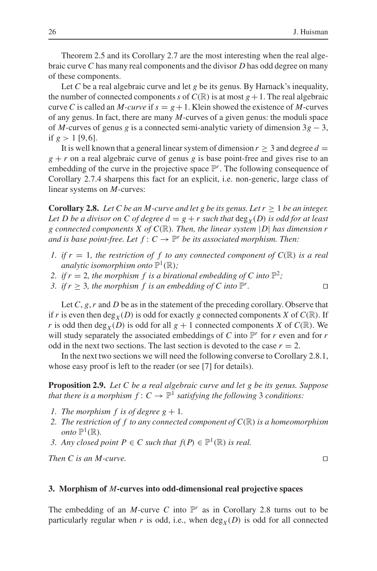Theorem 2.5 and its Corollary 2.7 are the most interesting when the real algebraic curve *C* has many real components and the divisor *D* has odd degree on many of these components.

Let *C* be a real algebraic curve and let *g* be its genus. By Harnack's inequality, the number of connected components *s* of  $C(\mathbb{R})$  is at most  $g + 1$ . The real algebraic curve *C* is called an *M-curve* if  $s = g + 1$ . Klein showed the existence of *M*-curves of any genus. In fact, there are many *M*-curves of a given genus: the moduli space of *M*-curves of genus *g* is a connected semi-analytic variety of dimension  $3g - 3$ , if  $g > 1$  [9,6].

It is well known that a general linear system of dimension  $r \geq 3$  and degree  $d =$  $g + r$  on a real algebraic curve of genus *g* is base point-free and gives rise to an embedding of the curve in the projective space  $\mathbb{P}^r$ . The following consequence of Corollary 2.7.4 sharpens this fact for an explicit, i.e. non-generic, large class of linear systems on *M*-curves:

**Corollary 2.8.** *Let C be an M-curve and let g be its genus. Let*  $r \geq 1$  *be an integer. Let D be a divisor on C of degree*  $d = g + r$  *such that*  $deg_X(D)$  *is odd for at least g connected components X of C*(R)*. Then, the linear system* |*D*| *has dimension r and is base point-free. Let*  $f: C \to \mathbb{P}^r$  *be its associated morphism. Then:* 

- *1. if*  $r = 1$ *, the restriction of f to any connected component of*  $C(\mathbb{R})$  *is a real analytic isomorphism onto*  $\mathbb{P}^1(\mathbb{R})$ ;
- 2. if  $r = 2$ , the morphism f is a birational embedding of C into  $\mathbb{P}^2$ ;
- *3. if*  $r \geq 3$ *, the morphism f is an embedding of C into*  $\mathbb{P}^r$ *.*

Let *C*, *g*, *r* and *D* be as in the statement of the preceding corollary. Observe that if *r* is even then deg<sub>*X*</sub>(*D*) is odd for exactly *g* connected components *X* of  $C(\mathbb{R})$ . If *r* is odd then  $\deg_X(D)$  is odd for all  $g + 1$  connected components *X* of  $C(\mathbb{R})$ . We will study separately the associated embeddings of *C* into  $\mathbb{P}^r$  for *r* even and for *r* odd in the next two sections. The last section is devoted to the case  $r = 2$ .

In the next two sections we will need the following converse to Corollary 2.8.1, whose easy proof is left to the reader (or see [7] for details).

**Proposition 2.9.** *Let C be a real algebraic curve and let g be its genus. Suppose that there is a morphism*  $f: C \to \mathbb{P}^1$  *satisfying the following* 3 *conditions:* 

- *1. The morphism f is of degree g*  $+1$ *.*
- *2. The restriction of f to any connected component of C*(R) *is a homeomorphism onto*  $\mathbb{P}^1(\mathbb{R})$ *.*
- *3. Any closed point*  $P \in C$  *such that*  $f(P) \in \mathbb{P}^1(\mathbb{R})$  *is real.*

*Then C is an M-curve.*

#### **3. Morphism of** *M***-curves into odd-dimensional real projective spaces**

The embedding of an *M*-curve *C* into  $\mathbb{P}^r$  as in Corollary 2.8 turns out to be particularly regular when  $r$  is odd, i.e., when  $\deg_X(D)$  is odd for all connected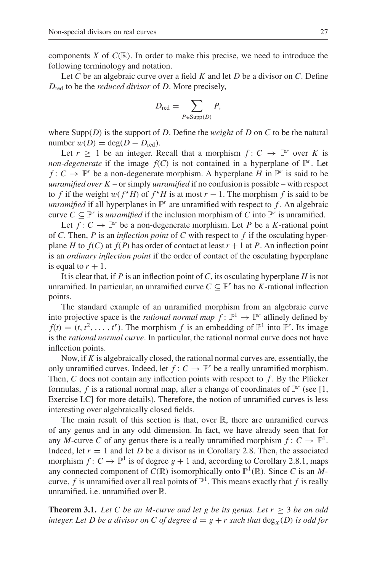components *X* of  $C(\mathbb{R})$ . In order to make this precise, we need to introduce the following terminology and notation.

Let *C* be an algebraic curve over a field *K* and let *D* be a divisor on *C*. Define *D*red to be the *reduced divisor* of *D*. More precisely,

$$
D_{\rm red} = \sum_{P \in {\rm Supp}(D)} P,
$$

where Supp(*D*) is the support of *D*. Define the *weight* of *D* on *C* to be the natural number  $w(D) = \deg(D - D_{\text{red}})$ .

Let  $r \geq 1$  be an integer. Recall that a morphism  $f: C \to \mathbb{P}^r$  over K is *non-degenerate* if the image  $f(C)$  is not contained in a hyperplane of  $\mathbb{P}^r$ . Let *f* :  $C \rightarrow \mathbb{P}^r$  be a non-degenerate morphism. A hyperplane *H* in  $\mathbb{P}^r$  is said to be *unramified over K* – or simply *unramified* if no confusion is possible – with respect to *f* if the weight  $w(f^*H)$  of  $f^*H$  is at most  $r-1$ . The morphism *f* is said to be *unramified* if all hyperplanes in  $\mathbb{P}^r$  are unramified with respect to f. An algebraic curve  $C \subseteq \mathbb{P}^r$  is *unramified* if the inclusion morphism of *C* into  $\mathbb{P}^r$  is unramified.

Let  $f: C \to \mathbb{P}^r$  be a non-degenerate morphism. Let P be a K-rational point of *C*. Then, *P* is an *inflection point* of *C* with respect to *f* if the osculating hyperplane *H* to  $f(C)$  at  $f(P)$  has order of contact at least  $r + 1$  at *P*. An inflection point is an *ordinary inflection point* if the order of contact of the osculating hyperplane is equal to  $r + 1$ .

It is clear that, if *P* is an inflection point of *C*, its osculating hyperplane *H* is not unramified. In particular, an unramified curve  $C \subseteq \mathbb{P}^r$  has no *K*-rational inflection points.

The standard example of an unramified morphism from an algebraic curve into projective space is the *rational normal map*  $f: \mathbb{P}^1 \to \mathbb{P}^r$  affinely defined by  $f(t) = (t, t^2, \dots, t^r)$ . The morphism *f* is an embedding of  $\mathbb{P}^1$  into  $\mathbb{P}^r$ . Its image is the *rational normal curve*. In particular, the rational normal curve does not have inflection points.

Now, if *K* is algebraically closed, the rational normal curves are, essentially, the only unramified curves. Indeed, let  $f: C \to \mathbb{P}^r$  be a really unramified morphism. Then, *C* does not contain any inflection points with respect to *f* . By the Plücker formulas, f is a rational normal map, after a change of coordinates of  $\mathbb{P}^r$  (see [1, Exercise I.C] for more details). Therefore, the notion of unramified curves is less interesting over algebraically closed fields.

The main result of this section is that, over  $\mathbb R$ , there are unramified curves of any genus and in any odd dimension. In fact, we have already seen that for any *M*-curve *C* of any genus there is a really unramified morphism  $f: C \to \mathbb{P}^1$ . Indeed, let  $r = 1$  and let *D* be a divisor as in Corollary 2.8. Then, the associated morphism  $f: C \to \mathbb{P}^1$  is of degree  $g + 1$  and, according to Corollary 2.8.1, maps any connected component of  $C(\mathbb{R})$  isomorphically onto  $\mathbb{P}^1(\mathbb{R})$ . Since *C* is an *M*curve, *f* is unramified over all real points of  $\mathbb{P}^1$ . This means exactly that *f* is really unramified, i.e. unramified over R.

**Theorem 3.1.** *Let* C *be an M-curve and let g be its genus. Let*  $r \geq 3$  *be an odd integer. Let D be a divisor on C of degree*  $d = g + r$  *such that*  $\deg_X(D)$  *is odd for*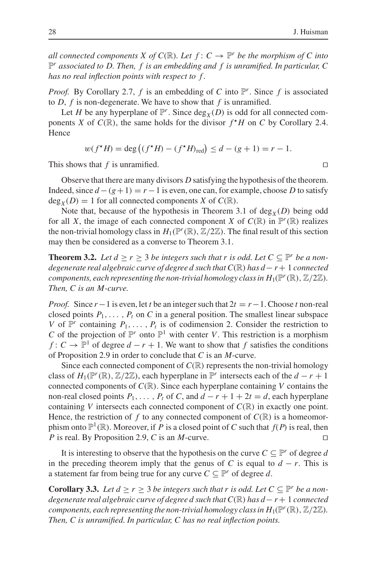*all connected components X of C(R). Let*  $f: C \to \mathbb{P}^r$  *be the morphism of C into* P*<sup>r</sup> associated to D. Then, f is an embedding and f is unramified. In particular, C has no real inflection points with respect to f .*

*Proof.* By Corollary 2.7, *f* is an embedding of *C* into  $\mathbb{P}^r$ . Since *f* is associated to *D*, *f* is non-degenerate. We have to show that *f* is unramified.

Let *H* be any hyperplane of  $\mathbb{P}^r$ . Since  $\deg_X(D)$  is odd for all connected components *X* of  $C(\mathbb{R})$ , the same holds for the divisor  $f^*H$  on *C* by Corollary 2.4. Hence

$$
w(f^*H) = \deg ((f^*H) - (f^*H)_{\text{red}}) \le d - (g+1) = r - 1.
$$

This shows that *f* is unramified.  $\square$ 

Observe that there are many divisors *D* satisfying the hypothesis of the theorem. Indeed, since  $d - (g + 1) = r - 1$  is even, one can, for example, choose *D* to satisfy  $deg_X(D) = 1$  for all connected components *X* of *C*(R).

Note that, because of the hypothesis in Theorem 3.1 of  $deg_X(D)$  being odd for all *X*, the image of each connected component *X* of  $C(\mathbb{R})$  in  $\mathbb{P}^r(\mathbb{R})$  realizes the non-trivial homology class in  $H_1(\mathbb{P}^r(\mathbb{R}), \mathbb{Z}/2\mathbb{Z})$ . The final result of this section may then be considered as a converse to Theorem 3.1.

**Theorem 3.2.** Let  $d > r > 3$  be integers such that r is odd. Let  $C \subseteq \mathbb{P}^r$  be a non*degenerate real algebraic curve of degree d such that C*(R) *has d*− *r*+ 1 *connected components, each representing the non-trivial homology class in*  $H_1(\mathbb{P}^r(\mathbb{R}), \mathbb{Z}/2\mathbb{Z})$ . *Then, C is an M-curve.*

*Proof.* Since  $r-1$  is even, let *t* be an integer such that  $2t = r-1$ . Choose *t* non-real closed points  $P_1, \ldots, P_t$  on *C* in a general position. The smallest linear subspace *V* of  $\mathbb{P}^r$  containing  $P_1, \ldots, P_t$  is of codimension 2. Consider the restriction to *C* of the projection of  $\mathbb{P}^r$  onto  $\mathbb{P}^1$  with center *V*. This restriction is a morphism *f* : *C* →  $\mathbb{P}^1$  of degree *d* − *r* + 1. We want to show that *f* satisfies the conditions of Proposition 2.9 in order to conclude that *C* is an *M*-curve.

Since each connected component of  $C(\mathbb{R})$  represents the non-trivial homology class of  $H_1(\mathbb{P}^r(\mathbb{R}), \mathbb{Z}/2\mathbb{Z})$ , each hyperplane in  $\mathbb{P}^r$  intersects each of the  $d-r+1$ connected components of *C*(R). Since each hyperplane containing *V* contains the non-real closed points  $P_1, \ldots, P_t$  of *C*, and  $d - r + 1 + 2t = d$ , each hyperplane containing *V* intersects each connected component of  $C(\mathbb{R})$  in exactly one point. Hence, the restriction of f to any connected component of  $C(\mathbb{R})$  is a homeomorphism onto  $\mathbb{P}^1(\mathbb{R})$ . Moreover, if *P* is a closed point of *C* such that  $f(P)$  is real, then *P* is real. By Proposition 2.9, *C* is an *M*-curve.

It is interesting to observe that the hypothesis on the curve  $C \subseteq \mathbb{P}^r$  of degree *d* in the preceding theorem imply that the genus of *C* is equal to  $d - r$ . This is a statement far from being true for any curve  $C \subseteq \mathbb{P}^r$  of degree d.

**Corollary 3.3.** *Let*  $d \geq r \geq 3$  *be integers such that r is odd. Let*  $C \subseteq \mathbb{P}^r$  *be a nondegenerate real algebraic curve of degree d such that C*(R) *has d*− *r*+ 1 *connected components, each representing the non-trivial homology class in*  $H_1(\mathbb{P}^r(\mathbb{R}), \mathbb{Z}/2\mathbb{Z})$ *. Then, C is unramified. In particular, C has no real inflection points.*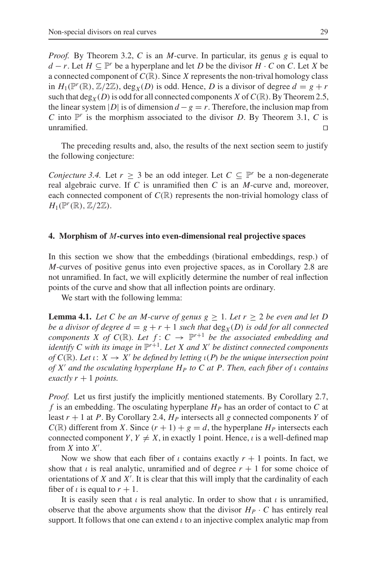*Proof.* By Theorem 3.2, *C* is an *M*-curve. In particular, its genus *g* is equal to *d* − *r*. Let *H* ⊆  $\mathbb{P}^r$  be a hyperplane and let *D* be the divisor *H* · *C* on *C*. Let *X* be a connected component of  $C(\mathbb{R})$ . Since *X* represents the non-trival homology class in  $H_1(\mathbb{P}^r(\mathbb{R}), \mathbb{Z}/2\mathbb{Z})$ , deg<sub>*X*</sub>(*D*) is odd. Hence, *D* is a divisor of degree  $d = g + r$ such that deg<sub>*X*</sub>(*D*) is odd for all connected components *X* of  $C(\mathbb{R})$ . By Theorem 2.5, the linear system |*D*| is of dimension  $d - g = r$ . Therefore, the inclusion map from *C* into  $\mathbb{P}^r$  is the morphism associated to the divisor *D*. By Theorem 3.1, *C* is unramified.

The preceding results and, also, the results of the next section seem to justify the following conjecture:

*Conjecture 3.4.* Let  $r \geq 3$  be an odd integer. Let  $C \subseteq \mathbb{P}^r$  be a non-degenerate real algebraic curve. If *C* is unramified then *C* is an *M*-curve and, moreover, each connected component of  $C(\mathbb{R})$  represents the non-trivial homology class of  $H_1(\mathbb{P}^r(\mathbb{R}), \mathbb{Z}/2\mathbb{Z}).$ 

## **4. Morphism of** *M***-curves into even-dimensional real projective spaces**

In this section we show that the embeddings (birational embeddings, resp.) of *M*-curves of positive genus into even projective spaces, as in Corollary 2.8 are not unramified. In fact, we will explicitly determine the number of real inflection points of the curve and show that all inflection points are ordinary.

We start with the following lemma:

**Lemma 4.1.** Let C be an M-curve of genus  $g \geq 1$ . Let  $r \geq 2$  be even and let D *be a divisor of degree*  $d = g + r + 1$  *such that*  $deg_X(D)$  *is odd for all connected components X of C*( $\mathbb{R}$ )*. Let*  $f: C \rightarrow \mathbb{P}^{r+1}$  *be the associated embedding and identify* C with its image in  $\mathbb{P}^{r+1}$ . Let X and X' be distinct connected components *of*  $C(\mathbb{R})$ *. Let*  $\iota: X \to X'$  *be defined by letting*  $\iota(P)$  *be the unique intersection point of X and the osculating hyperplane HP to C at P. Then, each fiber of* ι *contains exactly*  $r + 1$  *points.* 

*Proof.* Let us first justify the implicitly mentioned statements. By Corollary 2.7, *f* is an embedding. The osculating hyperplane *HP* has an order of contact to *C* at least  $r + 1$  at *P*. By Corollary 2.4,  $H_P$  intersects all *g* connected components *Y* of  $C(\mathbb{R})$  different from *X*. Since  $(r + 1) + g = d$ , the hyperplane  $H_P$  intersects each connected component *Y*,  $Y \neq X$ , in exactly 1 point. Hence, *i* is a well-defined map from *X* into *X* .

Now we show that each fiber of  $\iota$  contains exactly  $r + 1$  points. In fact, we show that  $\iota$  is real analytic, unramified and of degree  $r + 1$  for some choice of orientations of *X* and *X* . It is clear that this will imply that the cardinality of each fiber of  $\iota$  is equal to  $r + 1$ .

It is easily seen that  $\iota$  is real analytic. In order to show that  $\iota$  is unramified, observe that the above arguments show that the divisor  $H_P \cdot C$  has entirely real support. It follows that one can extend  $\iota$  to an injective complex analytic map from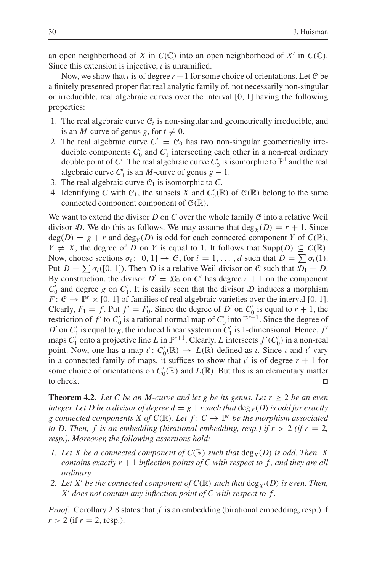an open neighborhood of *X* in  $C(\mathbb{C})$  into an open neighborhood of *X'* in  $C(\mathbb{C})$ . Since this extension is injective,  $\iota$  is unramified.

Now, we show that  $\iota$  is of degree  $r + 1$  for some choice of orientations. Let C be a finitely presented proper flat real analytic family of, not necessarily non-singular or irreducible, real algebraic curves over the interval [0, 1] having the following properties:

- 1. The real algebraic curve  $C_t$  is non-singular and geometrically irreducible, and is an *M*-curve of genus *g*, for  $t \neq 0$ .
- 2. The real algebraic curve  $C' = C_0$  has two non-singular geometrically irreducible components  $C'_0$  and  $C'_1$  intersecting each other in a non-real ordinary double point of *C'*. The real algebraic curve  $C'_0$  is isomorphic to  $\mathbb{P}^1$  and the real algebraic curve  $C'_1$  is an *M*-curve of genus  $g - 1$ .
- 3. The real algebraic curve  $C_1$  is isomorphic to  $C$ .
- 4. Identifying *C* with  $C_1$ , the subsets *X* and  $C'_0(\mathbb{R})$  of  $C(\mathbb{R})$  belong to the same connected component component of  $C(\mathbb{R})$ .

We want to extend the divisor *D* on *C* over the whole family *C* into a relative Weil divisor D. We do this as follows. We may assume that  $\deg_X(D) = r + 1$ . Since  $deg(D) = g + r$  and  $deg_Y(D)$  is odd for each connected component *Y* of  $C(\mathbb{R})$ , *Y*  $\neq$  *X*, the degree of *D* on *Y* is equal to 1. It follows that Supp(*D*) ⊆ *C*(ℝ). Now, choose sections  $\sigma_i$ :  $[0, 1] \rightarrow \mathcal{C}$ , for  $i = 1, \ldots, d$  such that  $D = \sum \sigma_i(1)$ . Put  $\mathcal{D} = \sum \sigma_i([0, 1])$ . Then  $\mathcal D$  is a relative Weil divisor on C such that  $\mathcal{D}_1 = D$ . By construction, the divisor  $D' = D_0$  on C' has degree  $r + 1$  on the component  $C'_0$  and degree *g* on  $C'_1$ . It is easily seen that the divisor  $D$  induces a morphism *F* :  $C \rightarrow \mathbb{P}^r \times [0, 1]$  of families of real algebraic varieties over the interval [0, 1]. Clearly,  $F_1 = f$ . Put  $f' = F_0$ . Since the degree of *D'* on  $C'_0$  is equal to  $r + 1$ , the restriction of  $f'$  to  $C'_0$  is a rational normal map of  $C'_0$  into  $\mathbb{P}^{r+1}$ . Since the degree of *D*<sup> $\prime$ </sup> on *C*<sup> $\prime$ </sup><sub>1</sub> is equal to *g*, the induced linear system on *C*<sup> $\prime$ </sup><sub>1</sub> is 1-dimensional. Hence, *f*<sup> $\prime$ </sup> maps  $C'_1$  onto a projective line *L* in  $\mathbb{P}^{r+1}$ . Clearly, *L* intersects  $f'(C'_0)$  in a non-real point. Now, one has a map  $\iota' : C'_0(\mathbb{R}) \to L(\mathbb{R})$  defined as  $\iota$ . Since  $\iota$  and  $\iota'$  vary in a connected family of maps, it suffices to show that  $\iota'$  is of degree  $r + 1$  for some choice of orientations on  $C'_0(\mathbb{R})$  and  $L(\mathbb{R})$ . But this is an elementary matter to check.  $\Box$ 

**Theorem 4.2.** Let C be an M-curve and let g be its genus. Let  $r \geq 2$  be an even *integer. Let D be a divisor of degree*  $d = g + r$  *such that*  $\deg_x(D)$  *is odd for exactly g* connected components *X* of  $C(\mathbb{R})$ *. Let*  $f: C \to \mathbb{P}^r$  *be the morphism associated to D. Then, f is an embedding (birational embedding, resp.) if*  $r > 2$  *(if*  $r = 2$ *, resp.). Moreover, the following assertions hold:*

- *1. Let X be a connected component of*  $C(\mathbb{R})$  *such that* deg<sub>*X*</sub>(*D*) *is odd. Then, X contains exactly*  $r + 1$  *inflection points of C with respect to f, and they are all ordinary.*
- *2. Let X' be the connected component of*  $C(\mathbb{R})$  *such that*  $\deg_{X'}(D)$  *is even. Then, X does not contain any inflection point of C with respect to f .*

*Proof.* Corollary 2.8 states that *f* is an embedding (birational embedding, resp.) if  $r > 2$  (if  $r = 2$ , resp.).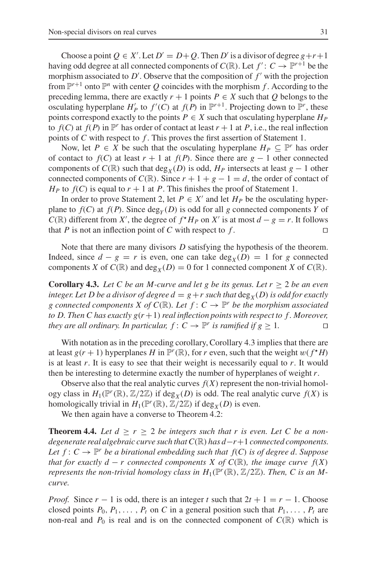Choose a point  $Q \in X'$ . Let  $D' = D + Q$ . Then  $D'$  is a divisor of degree  $g + r + 1$ having odd degree at all connected components of  $C(\mathbb{R})$ . Let  $f' : C \to \mathbb{P}^{r+1}$  be the morphism associated to  $D'$ . Observe that the composition of  $f'$  with the projection from  $\mathbb{P}^{r+1}$  onto  $\mathbb{P}^n$  with center *Q* coincides with the morphism *f*. According to the preceding lemma, there are exactly  $r + 1$  points  $P \in X$  such that  $Q$  belongs to the osculating hyperplane  $H'_{P}$  to  $f'(C)$  at  $f(P)$  in  $\mathbb{P}^{r+1}$ . Projecting down to  $\mathbb{P}^{r}$ , these points correspond exactly to the points  $P \in X$  such that osculating hyperplane  $H_P$ to  $f(C)$  at  $f(P)$  in  $\mathbb{P}^r$  has order of contact at least  $r + 1$  at P, i.e., the real inflection points of *C* with respect to *f* . This proves the first assertion of Statement 1.

Now, let  $P \in X$  be such that the osculating hyperplane  $H_P \subseteq \mathbb{P}^r$  has order of contact to  $f(C)$  at least  $r + 1$  at  $f(P)$ . Since there are  $g - 1$  other connected components of  $C(\mathbb{R})$  such that deg<sub>*X*</sub>(*D*) is odd,  $H_P$  intersects at least *g* − 1 other connected components of  $C(\mathbb{R})$ . Since  $r + 1 + g - 1 = d$ , the order of contact of  $H_P$  to  $f(C)$  is equal to  $r + 1$  at P. This finishes the proof of Statement 1.

In order to prove Statement 2, let  $P \in X'$  and let  $H_P$  be the osculating hyperplane to  $f(C)$  at  $f(P)$ . Since deg<sub>*Y*</sub> (*D*) is odd for all *g* connected components *Y* of *C*( $\mathbb{R}$ ) different from *X'*, the degree of  $f^*H_P$  on *X'* is at most  $d - g = r$ . It follows that *P* is not an inflection point of *C* with respect to *f*.

Note that there are many divisors *D* satisfying the hypothesis of the theorem. Indeed, since  $d - g = r$  is even, one can take  $\deg_X(D) = 1$  for g connected components *X* of  $C(\mathbb{R})$  and  $\text{deg}_X(D) = 0$  for 1 connected component *X* of  $C(\mathbb{R})$ .

**Corollary 4.3.** *Let C be an M-curve and let g be its genus. Let*  $r \geq 2$  *be an even integer. Let D be a divisor of degree*  $d = g + r$  *such that*  $\deg_x(D)$  *is odd for exactly g* connected components *X* of  $C(\mathbb{R})$ *. Let*  $f: C \to \mathbb{P}^r$  *be the morphism associated to D. Then C has exactly g*(*r* +1)*real inflection points with respect to f . Moreover, they are all ordinary. In particular,*  $f: C \to \mathbb{P}^r$  *is ramified if*  $g \geq 1$ *.* 

With notation as in the preceding corollary, Corollary 4.3 implies that there are at least  $g(r + 1)$  hyperplanes *H* in  $\mathbb{P}^r(\mathbb{R})$ , for *r* even, such that the weight  $w(f^*H)$ is at least *r*. It is easy to see that their weight is necessarily equal to *r*. It would then be interesting to determine exactly the number of hyperplanes of weight *r*.

Observe also that the real analytic curves  $f(X)$  represent the non-trivial homology class in  $H_1(\mathbb{P}^r(\mathbb{R}), \mathbb{Z}/2\mathbb{Z})$  if  $\text{deg}_X(D)$  is odd. The real analytic curve  $f(X)$  is homologically trivial in  $H_1(\mathbb{P}^r(\mathbb{R}), \mathbb{Z}/2\mathbb{Z})$  if deg<sub>*X*</sub>(*D*) is even.

We then again have a converse to Theorem 4.2:

**Theorem 4.4.** Let  $d \geq r \geq 2$  be integers such that r is even. Let C be a non*degenerate real algebraic curve such that C*(R) *has d*−*r*+1 *connected components. Let*  $f: C \to \mathbb{P}^r$  *be a birational embedding such that*  $f(C)$  *is of degree d. Suppose that for exactly d* − *r* connected components *X* of  $C(\mathbb{R})$ *, the image curve*  $f(X)$ *represents the non-trivial homology class in*  $H_1(\mathbb{P}^r(\mathbb{R}), \mathbb{Z}/2\mathbb{Z})$ *. Then, C is an Mcurve.*

*Proof.* Since  $r - 1$  is odd, there is an integer  $t$  such that  $2t + 1 = r - 1$ . Choose closed points  $P_0, P_1, \ldots, P_t$  on C in a general position such that  $P_1, \ldots, P_t$  are non-real and  $P_0$  is real and is on the connected component of  $C(\mathbb{R})$  which is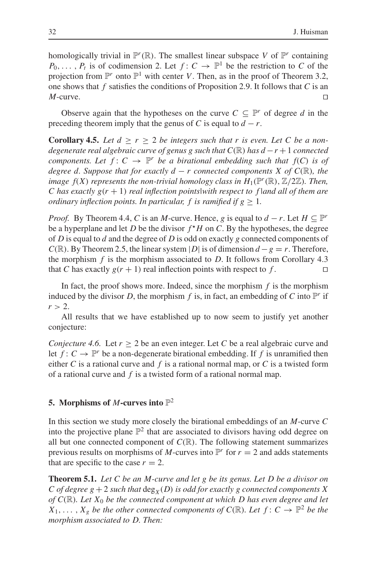homologically trivial in  $\mathbb{P}^r(\mathbb{R})$ . The smallest linear subspace *V* of  $\mathbb{P}^r$  containing  $P_0, \ldots, P_t$  is of codimension 2. Let  $f: C \to \mathbb{P}^1$  be the restriction to *C* of the projection from  $\mathbb{P}^r$  onto  $\mathbb{P}^1$  with center *V*. Then, as in the proof of Theorem 3.2, one shows that *f* satisfies the conditions of Proposition 2.9. It follows that *C* is an *M*-curve. □

Observe again that the hypotheses on the curve  $C \subseteq \mathbb{P}^r$  of degree *d* in the preceding theorem imply that the genus of *C* is equal to  $d - r$ .

**Corollary 4.5.** Let  $d \geq r \geq 2$  be integers such that r is even. Let C be a non*degenerate real algebraic curve of genus g such that*  $C(\mathbb{R})$  *has*  $d-r+1$  *connected components. Let*  $f: C \to \mathbb{P}^r$  *be a birational embedding such that*  $f(C)$  *is of degree d. Suppose that for exactly d − r connected components X of*  $C(\mathbb{R})$ *, the image f(X) represents the non-trivial homology class in*  $H_1(\mathbb{P}^r(\mathbb{R}), \mathbb{Z}/2\mathbb{Z})$ *. Then, C has exactly g*(*r* + 1) *real inflection points|with respect to f |and all of them are ordinary inflection points. In particular, f is ramified if*  $g \geq 1$ *.* 

*Proof.* By Theorem 4.4, *C* is an *M*-curve. Hence, *g* is equal to  $d - r$ . Let  $H \subseteq \mathbb{P}^r$ be a hyperplane and let *D* be the divisor  $f^*H$  on *C*. By the hypotheses, the degree of *D* is equal to *d* and the degree of *D* is odd on exactly *g* connected components of  $C(\mathbb{R})$ . By Theorem 2.5, the linear system |*D*| is of dimension  $d - g = r$ . Therefore, the morphism  $f$  is the morphism associated to  $D$ . It follows from Corollary 4.3 that *C* has exactly  $g(r + 1)$  real inflection points with respect to f.

In fact, the proof shows more. Indeed, since the morphism *f* is the morphism induced by the divisor *D*, the morphism *f* is, in fact, an embedding of *C* into  $\mathbb{P}^r$  if  $r > 2$ .

All results that we have established up to now seem to justify yet another conjecture:

*Conjecture 4.6.* Let  $r \geq 2$  be an even integer. Let C be a real algebraic curve and let  $f: C \to \mathbb{P}^r$  be a non-degenerate birational embedding. If f is unramified then either *C* is a rational curve and *f* is a rational normal map, or *C* is a twisted form of a rational curve and *f* is a twisted form of a rational normal map.

# **5. Morphisms of** *M***-curves into** P<sup>2</sup>

In this section we study more closely the birational embeddings of an *M*-curve *C* into the projective plane  $\mathbb{P}^2$  that are associated to divisors having odd degree on all but one connected component of  $C(\mathbb{R})$ . The following statement summarizes previous results on morphisms of *M*-curves into  $\mathbb{P}^r$  for  $r = 2$  and adds statements that are specific to the case  $r = 2$ .

**Theorem 5.1.** *Let C be an M-curve and let g be its genus. Let D be a divisor on C* of degree  $g + 2$  *such that*  $deg_X(D)$  *is odd for exactly g connected components X of C*(R)*. Let X*<sup>0</sup> *be the connected component at which D has even degree and let X*<sub>1</sub>,..., *X<sub>g</sub> be the other connected components of C*( $\mathbb{R}$ )*. Let*  $f: C \rightarrow \mathbb{P}^2$  *be the morphism associated to D. Then:*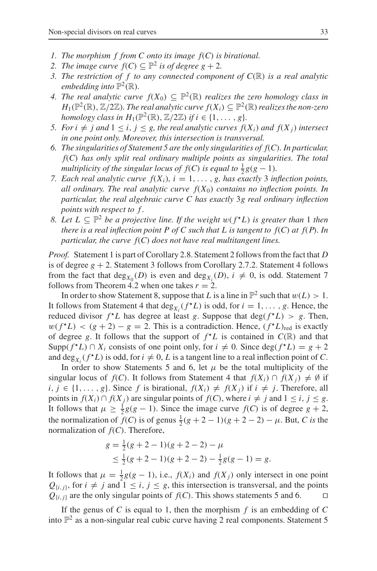- *1. The morphism f from C onto its image f*(*C*) *is birational.*
- *2. The image curve*  $f(C) \subseteq \mathbb{P}^2$  *is of degree g* + 2*.*
- *3. The restriction of f to any connected component of C*(R) *is a real analytic embedding into*  $\mathbb{P}^2(\mathbb{R})$ *.*
- *4. The real analytic curve*  $f(X_0) \subseteq \mathbb{P}^2(\mathbb{R})$  *realizes the zero homology class in*  $H_1(\mathbb{P}^2(\mathbb{R}), \mathbb{Z}/2\mathbb{Z})$ *. The real analytic curve*  $f(X_i) \subseteq \mathbb{P}^2(\mathbb{R})$  *realizes the non-zero homology class in*  $H_1(\mathbb{P}^2(\mathbb{R}), \mathbb{Z}/2\mathbb{Z})$  *if i*  $\in \{1, \ldots, g\}.$
- *5. For i*  $\neq$  *j* and  $1 \leq i$ ,  $j \leq g$ , the real analytic curves  $f(X_i)$  and  $f(X_j)$  intersect *in one point only. Moreover, this intersection is transversal.*
- *6. The singularities of Statement 5 are the only singularities of f*(*C*)*. In particular, f*(*C*) *has only split real ordinary multiple points as singularities. The total multiplicity of the singular locus of*  $f(C)$  *<i>is equal to*  $\frac{1}{2}g(g-1)$ *.*
- *7. Each real analytic curve*  $f(X_i)$ ,  $i = 1, \ldots, g$ , has exactly 3 inflection points, *all ordinary. The real analytic curve*  $f(X_0)$  *contains no inflection points. In particular, the real algebraic curve C has exactly* 3*g real ordinary inflection points with respect to f .*
- *8. Let*  $L ⊆ ⊕$ <sup>2</sup> *be a projective line. If the weight*  $w(f^*L)$  *is greater than* 1 *then there is a real inflection point P of C such that L is tangent to f*(*C*) *at f*(*P*)*. In particular, the curve f*(*C*) *does not have real multitangent lines.*

*Proof.* Statement 1 is part of Corollary 2.8. Statement 2 follows from the fact that *D* is of degree  $g + 2$ . Statement 3 follows from Corollary 2.7.2. Statement 4 follows from the fact that  $deg_{X_0}(D)$  is even and  $deg_{X_i}(D)$ ,  $i \neq 0$ , is odd. Statement 7 follows from Theorem 4.2 when one takes  $r = 2$ .

In order to show Statement 8, suppose that *L* is a line in  $\mathbb{P}^2$  such that  $w(L) > 1$ . It follows from Statement 4 that  $\deg_{X_i}(f^{\star}L)$  is odd, for  $i = 1, \ldots, g$ . Hence, the reduced divisor  $f^{\star}L$  has degree at least *g*. Suppose that deg( $f^{\star}L$ ) > *g*. Then,  $w(f^{\star}L) < (g + 2) - g = 2$ . This is a contradiction. Hence,  $(f^{\star}L)_{\text{red}}$  is exactly of degree g. It follows that the support of  $f^{\star}L$  is contained in  $C(\mathbb{R})$  and that Supp( $f^{\star}L$ ) ∩  $X_i$  consists of one point only, for  $i \neq 0$ . Since deg( $f^{\star}L$ ) =  $g + 2$ and  $\deg_{X_i}(f^{\star}L)$  is odd, for  $i \neq 0$ , L is a tangent line to a real inflection point of C.

In order to show Statements 5 and 6, let  $\mu$  be the total multiplicity of the singular locus of *f*(*C*). It follows from Statement 4 that  $f(X_i) \cap f(X_j) \neq \emptyset$  if *i*, *j* ∈ {1,..., *g*}. Since *f* is birational,  $f(X_i) ≠ f(X_j)$  if  $i ≠ j$ . Therefore, all points in *f*(*X<sub>i</sub>*)∩ *f*(*X<sub>j</sub>*) are singular points of *f*(*C*), where *i* ≠ *j* and 1 ≤ *i*, *j* ≤ *g*. It follows that  $\mu \geq \frac{1}{2}g(g-1)$ . Since the image curve  $f(C)$  is of degree  $g + 2$ , the normalization of  $f(C)$  is of genus  $\frac{1}{2}(g + 2 - 1)(g + 2 - 2) - \mu$ . But, *C* is the normalization of *f*(*C*). Therefore,

$$
g = \frac{1}{2}(g+2-1)(g+2-2) - \mu
$$
  
\n
$$
\leq \frac{1}{2}(g+2-1)(g+2-2) - \frac{1}{2}g(g-1) = g.
$$

It follows that  $\mu = \frac{1}{2}g(g-1)$ , i.e.,  $f(X_i)$  and  $f(X_j)$  only intersect in one point  $Q_{\{i,j\}}$ , for  $i \neq j$  and  $1 \leq i, j \leq g$ , this intersection is transversal, and the points  $Q_{\{i,j\}}$  are the only singular points of  $f(C)$ . This shows statements 5 and 6.

If the genus of *C* is equal to 1, then the morphism *f* is an embedding of *C* into  $\mathbb{P}^2$  as a non-singular real cubic curve having 2 real components. Statement 5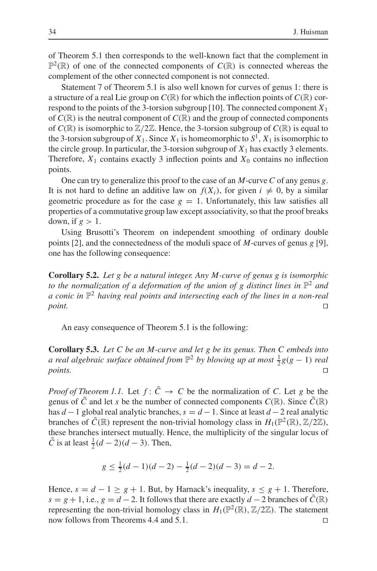of Theorem 5.1 then corresponds to the well-known fact that the complement in  $\mathbb{P}^2(\mathbb{R})$  of one of the connected components of  $C(\mathbb{R})$  is connected whereas the complement of the other connected component is not connected.

Statement 7 of Theorem 5.1 is also well known for curves of genus 1: there is a structure of a real Lie group on  $C(\mathbb{R})$  for which the inflection points of  $C(\mathbb{R})$  correspond to the points of the 3-torsion subgroup [10]. The connected component  $X_1$ of  $C(\mathbb{R})$  is the neutral component of  $C(\mathbb{R})$  and the group of connected components of  $C(\mathbb{R})$  is isomorphic to  $\mathbb{Z}/2\mathbb{Z}$ . Hence, the 3-torsion subgroup of  $C(\mathbb{R})$  is equal to the 3-torsion subgroup of  $X_1$ . Since  $X_1$  is homeomorphic to  $S^1$ ,  $X_1$  is isomorphic to the circle group. In particular, the 3-torsion subgroup of  $X_1$  has exactly 3 elements. Therefore,  $X_1$  contains exactly 3 inflection points and  $X_0$  contains no inflection points.

One can try to generalize this proof to the case of an *M*-curve *C* of any genus *g*. It is not hard to define an additive law on  $f(X_i)$ , for given  $i \neq 0$ , by a similar geometric procedure as for the case  $g = 1$ . Unfortunately, this law satisfies all properties of a commutative group law except associativity, so that the proof breaks down, if  $g > 1$ .

Using Brusotti's Theorem on independent smoothing of ordinary double points [2], and the connectedness of the moduli space of *M*-curves of genus *g* [9], one has the following consequence:

**Corollary 5.2.** *Let g be a natural integer. Any M-curve of genus g is isomorphic to the normalization of a deformation of the union of g distinct lines in*  $\mathbb{P}^2$  *and a conic in* P<sup>2</sup> *having real points and intersecting each of the lines in a non-real point.*

An easy consequence of Theorem 5.1 is the following:

**Corollary 5.3.** *Let C be an M-curve and let g be its genus. Then C embeds into a real algebraic surface obtained from*  $\mathbb{P}^2$  *by blowing up at most*  $\frac{1}{2}g(g-1)$  *real points.* □

*Proof of Theorem 1.1.* Let  $f: \tilde{C} \rightarrow C$  be the normalization of *C*. Let *g* be the genus of  $\tilde{C}$  and let *s* be the number of connected components  $C(\mathbb{R})$ . Since  $\tilde{C}(\mathbb{R})$ has *d* −1 global real analytic branches, *s* = *d* −1. Since at least *d* −2 real analytic branches of  $\tilde{C}(\mathbb{R})$  represent the non-trivial homology class in  $H_1(\mathbb{P}^2(\mathbb{R}), \mathbb{Z}/2\mathbb{Z})$ , these branches intersect mutually. Hence, the multiplicity of the singular locus of  $\tilde{C}$  is at least  $\frac{1}{2}(d-2)(d-3)$ . Then,

$$
g \le \frac{1}{2}(d-1)(d-2) - \frac{1}{2}(d-2)(d-3) = d-2.
$$

Hence,  $s = d - 1 \geq g + 1$ . But, by Harnack's inequality,  $s \leq g + 1$ . Therefore,  $s = g + 1$ , i.e.,  $g = d - 2$ . It follows that there are exactly  $d - 2$  branches of  $\tilde{C}(\mathbb{R})$ representing the non-trivial homology class in  $H_1(\mathbb{P}^2(\mathbb{R}), \mathbb{Z}/2\mathbb{Z})$ . The statement now follows from Theorems 4.4 and 5.1.